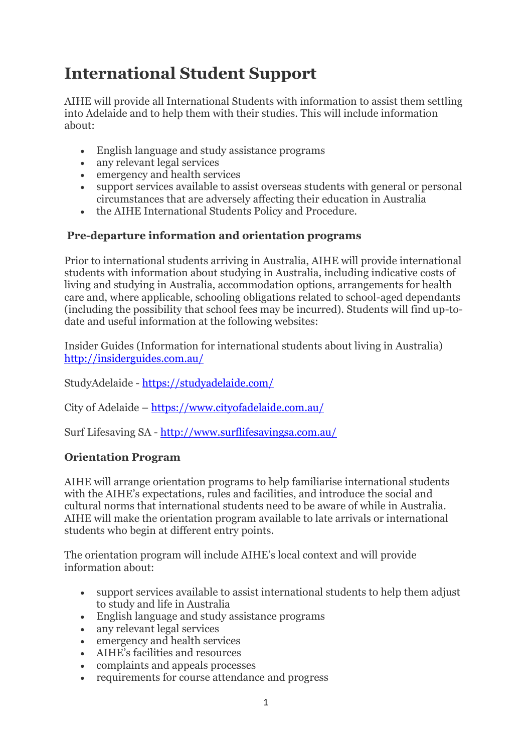# **International Student Support**

AIHE will provide all International Students with information to assist them settling into Adelaide and to help them with their studies. This will include information about:

- English language and study assistance programs
- any relevant legal services
- emergency and health services
- support services available to assist overseas students with general or personal circumstances that are adversely affecting their education in Australia
- the AIHE International Students Policy and Procedure.

## **Pre-departure information and orientation programs**

Prior to international students arriving in Australia, AIHE will provide international students with information about studying in Australia, including indicative costs of living and studying in Australia, accommodation options, arrangements for health care and, where applicable, schooling obligations related to school-aged dependants (including the possibility that school fees may be incurred). Students will find up-todate and useful information at the following websites:

Insider Guides (Information for international students about living in Australia) <http://insiderguides.com.au/>

StudyAdelaide - <https://studyadelaide.com/>

City of Adelaide – <https://www.cityofadelaide.com.au/>

Surf Lifesaving SA - <http://www.surflifesavingsa.com.au/>

### **Orientation Program**

AIHE will arrange orientation programs to help familiarise international students with the AIHE's expectations, rules and facilities, and introduce the social and cultural norms that international students need to be aware of while in Australia. AIHE will make the orientation program available to late arrivals or international students who begin at different entry points.

The orientation program will include AIHE's local context and will provide information about:

- support services available to assist international students to help them adjust to study and life in Australia
- English language and study assistance programs
- any relevant legal services
- emergency and health services
- AIHE's facilities and resources
- complaints and appeals processes
- requirements for course attendance and progress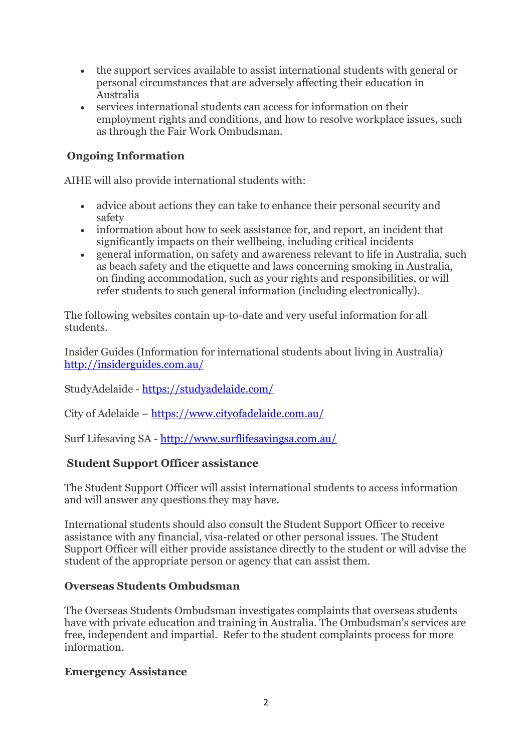- the support services available to assist international students with general or personal circumstances that are adversely affecting their education in Australia
- services international students can access for information on their employment rights and conditions, and how to resolve workplace issues, such as through the Fair Work Ombudsman.

# **Ongoing Information**

AIHE will also provide international students with:

- advice about actions they can take to enhance their personal security and safety
- information about how to seek assistance for, and report, an incident that significantly impacts on their wellbeing, including critical incidents
- general information, on safety and awareness relevant to life in Australia, such as beach safety and the etiquette and laws concerning smoking in Australia, on finding accommodation, such as your rights and responsibilities, or will refer students to such general information (including electronically).

The following websites contain up-to-date and very useful information for all students.

Insider Guides (Information for international students about living in Australia) <http://insiderguides.com.au/>

StudyAdelaide - <https://studyadelaide.com/>

City of Adelaide – <https://www.cityofadelaide.com.au/>

Surf Lifesaving SA - <http://www.surflifesavingsa.com.au/>

### **Student Support Officer assistance**

The Student Support Officer will assist international students to access information and will answer any questions they may have.

International students should also consult the Student Support Officer to receive assistance with any financial, visa-related or other personal issues. The Student Support Officer will either provide assistance directly to the student or will advise the student of the appropriate person or agency that can assist them.

### **Overseas Students Ombudsman**

The Overseas Students Ombudsman investigates complaints that overseas students have with private education and training in Australia. The Ombudsman's services are free, independent and impartial. Refer to the student complaints process for more information.

#### **Emergency Assistance**